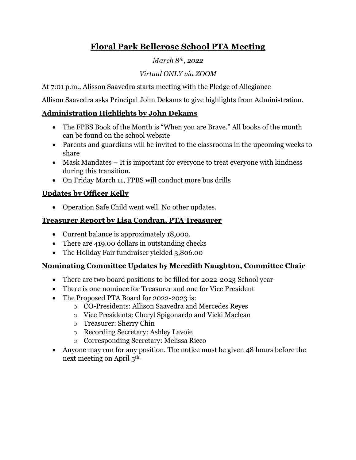# **Floral Park Bellerose School PTA Meeting**

#### *March 8th, 2022*

## *Virtual ONLY via ZOOM*

At 7:01 p.m., Alisson Saavedra starts meeting with the Pledge of Allegiance

Allison Saavedra asks Principal John Dekams to give highlights from Administration.

### **Administration Highlights by John Dekams**

- The FPBS Book of the Month is "When you are Brave." All books of the month can be found on the school website
- Parents and guardians will be invited to the classrooms in the upcoming weeks to share
- Mask Mandates It is important for everyone to treat everyone with kindness during this transition.
- On Friday March 11, FPBS will conduct more bus drills

#### **Updates by Officer Kelly**

• Operation Safe Child went well. No other updates.

#### **Treasurer Report by Lisa Condran, PTA Treasurer**

- Current balance is approximately 18,000.
- There are 419.00 dollars in outstanding checks
- The Holiday Fair fundraiser yielded 3,806.00

#### **Nominating Committee Updates by Meredith Naughton, Committee Chair**

- There are two board positions to be filled for 2022-2023 School year
- There is one nominee for Treasurer and one for Vice President
- The Proposed PTA Board for 2022-2023 is:
	- o CO-Presidents: Allison Saavedra and Mercedes Reyes
	- o Vice Presidents: Cheryl Spigonardo and Vicki Maclean
	- o Treasurer: Sherry Chin
	- o Recording Secretary: Ashley Lavoie
	- o Corresponding Secretary: Melissa Ricco
- Anyone may run for any position. The notice must be given 48 hours before the next meeting on April 5th.